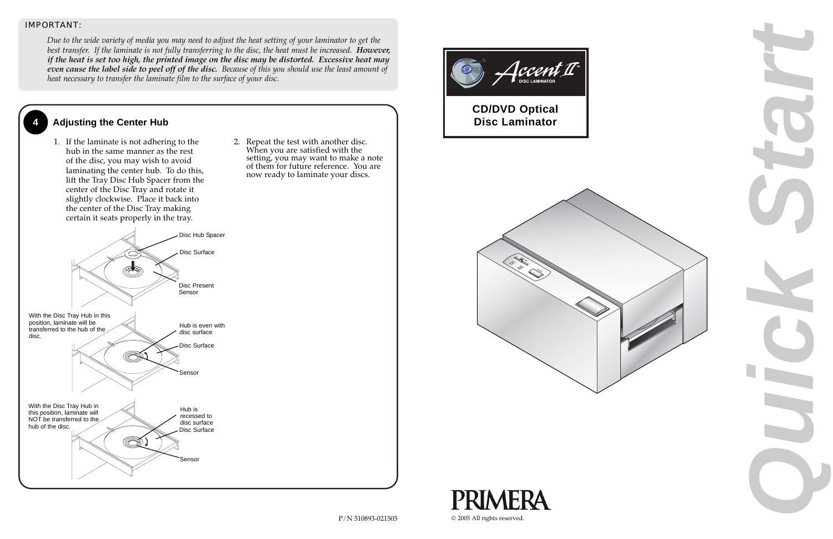





## **4 Adjusting the Center Hub**

1. If the laminate is not adhering to the hub in the same manner as the rest of the disc, you may wish to avoid laminating the center hub. To do this, lift the Tray Disc Hub Spacer from the center of the Disc Tray and rotate it slightly clockwise. Place it back into the center of the Disc Tray making certain it seats properly in the tray.

2. Repeat the test with another disc. When you are satisfied with the setting, you may want to make a note of them for future reference. You are now ready to laminate your discs.

#### *IMPORTANT:*

*Due to the wide variety of media you may need to adjust the heat setting of your laminator to get the best transfer. If the laminate is not fully transferring to the disc, the heat must be increased. However, if the heat is set too high, the printed image on the disc may be distorted. Excessive heat may even cause the label side to peel off of the disc. Because of this you should use the least amount of heat necessary to transfer the laminate film to the surface of your disc.*



**Automated Optical Disc CD/DVD Optical Duplication & Printing System Disc Laminator**